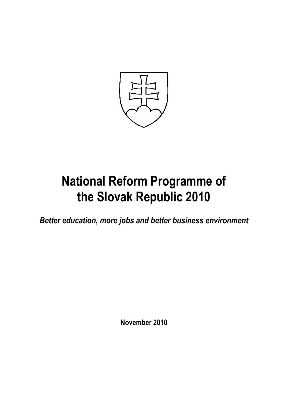

# **National Reform Programme of the Slovak Republic 2010**

*Better education, more jobs and better business environment*

**November 2010**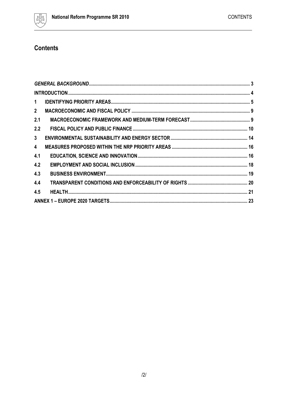

# **Contents**

| $\mathbf{1}$   |  |
|----------------|--|
| $\mathbf{2}$   |  |
| 2.1            |  |
| 2.2            |  |
| 3 <sup>1</sup> |  |
| $\overline{4}$ |  |
| 4.1            |  |
| 4.2            |  |
| 4.3            |  |
| 4.4            |  |
| 4.5            |  |
|                |  |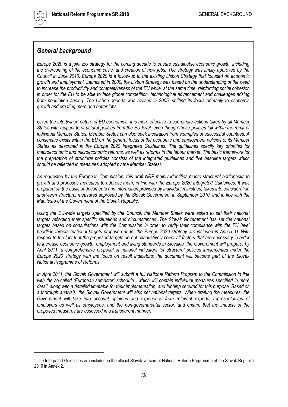

l

## <span id="page-2-0"></span>*General background*

*Europe 2020 is a joint EU strategy for the coming decade to ensure sustainable economic growth, including the overcoming of the economic crisis, and creation of new jobs. The strategy was finally approved by the Council in June 2010. Europe 2020 is a follow-up to the existing Lisbon Strategy that focused on economic growth and employment. Launched in 2000, the Lisbon Strategy was based on the understanding of the need to increase the productivity and competitiveness of the EU while, at the same time, reinforcing social cohesion in order for the EU to be able to face global competition, technological advancement and challenges arising from population ageing. The Lisbon agenda was revised in 2005, shifting its focus primarily to economic growth and creating more and better jobs.* 

*Given the intertwined nature of EU economies, it is more effective to coordinate actions taken by all Member States with respect to structural policies from the EU level, even though these policies fall within the remit of individual Member States. Member States can also seek inspiration from examples of successful countries. A consensus exists within the EU on the general focus of the economic and employment policies of its Member States as described in the Europe 2020 Integrated Guidelines. The guidelines specify key priorities for macroeconomic and microeconomic reforms, as well as reforms in the labour market. The basic framework for the preparation of structural policies consists of the integrated guidelines and five headline targets which should be reflected in measures adopted by the Member States<sup>1</sup> .*

*As requested by the European Commission, this draft NRP mainly identifies macro-structural bottlenecks to growth and proposes measures to address them, in line with the Europe 2020 Integrated Guidelines. It was prepared on the basis of documents and information provided by individual ministries, takes into consideration short-term structural measures approved by the Slovak Government in September 2010, and in line with the Manifesto of the Government of the Slovak Republic.*

*Using the EU-wide targets specified by the Council, the Member States were asked to set their national targets reflecting their specific situations and circumstances. The Slovak Government has set the national targets based on consultations with the Commission in order to verify their compliance with the EU level headline targets (national targets proposed under the Europe 2020 strategy are included in Annex 1). With respect to the fact that the proposed targets do not exhaustively cover all factors that are necessary in order to increase economic growth, employment and living standards in Slovakia, the Government will prepare, by April 2011, a comprehensive proposal of national indicators for structural policies implemented under the Europe 2020 strategy with the focus on result indicators; the document will become part of the Slovak National Programme of Reforms.* 

*In April 2011, the Slovak Government will submit a full National Reform Program to the Commission in line with the so-called "European semester" schedule , which will contain individual measures specified in more detail, along with a detailed timetable for their implementation, and funding secured for this purpose. Based on a thorough analysis, the Slovak Government will also set national targets. When drafting the measures, the Government will take into account opinions and experience from relevant experts, representatives of*  employers as well as employees, and the non-governmental sector, and ensure that the *impacts* of the *proposed measures are assessed in a transparent manner.*

<sup>1</sup> The Integrated Guidelines are included in the official Slovak version of National Reform Programme of the Slovak Republic 2010 in Annex 2.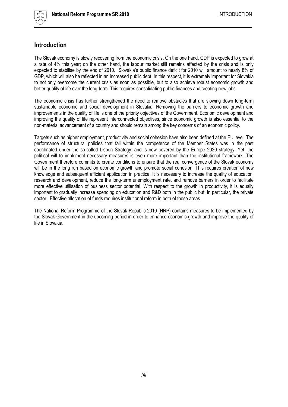

## <span id="page-3-0"></span>**Introduction**

The Slovak economy is slowly recovering from the economic crisis. On the one hand, GDP is expected to grow at a rate of 4% this year; on the other hand, the labour market still remains affected by the crisis and is only expected to stabilise by the end of 2010. Slovakia's public finance deficit for 2010 will amount to nearly 8% of GDP, which will also be reflected in an increased public debt. In this respect, it is extremely important for Slovakia to not only overcome the current crisis as soon as possible, but to also achieve robust economic growth and better quality of life over the long-term. This requires consolidating public finances and creating new jobs.

The economic crisis has further strengthened the need to remove obstacles that are slowing down long-term sustainable economic and social development in Slovakia. Removing the barriers to economic growth and improvements in the quality of life is one of the priority objectives of the Government. Economic development and improving the quality of life represent interconnected objectives, since economic growth is also essential to the non-material advancement of a country and should remain among the key concerns of an economic policy.

Targets such as higher employment, productivity and social cohesion have also been defined at the EU level. The performance of structural policies that fall within the competence of the Member States was in the past coordinated under the so-called Lisbon Strategy, and is now covered by the Europe 2020 strategy. Yet, the political will to implement necessary measures is even more important than the institutional framework. The Government therefore commits to create conditions to ensure that the real convergence of the Slovak economy will be in the long run based on economic growth and promote social cohesion. This requires creation of new knowledge and subsequent efficient application in practice. It is necessary to increase the quality of education, research and development, reduce the long-term unemployment rate, and remove barriers in order to facilitate more effective utilisation of business sector potential. With respect to the growth in productivity, it is equally important to gradually increase spending on education and R&D both in the public but, in particular, the private sector. Effective allocation of funds requires institutional reform in both of these areas.

The National Reform Programme of the Slovak Republic 2010 (NRP) contains measures to be implemented by the Slovak Government in the upcoming period in order to enhance economic growth and improve the quality of life in Slovakia.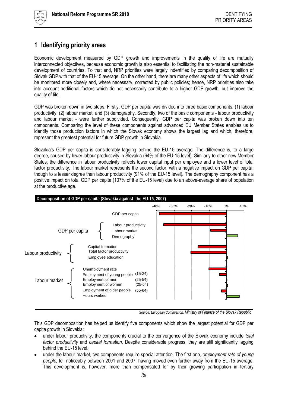

# <span id="page-4-0"></span>**1 Identifying priority areas**

Economic development measured by GDP growth and improvements in the quality of life are mutually interconnected objectives, because economic growth is also essential to facilitating the non-material sustainable development of countries. To that end, NRP priorities were largely indentified by comparing decomposition of Slovak GDP with that of the EU-15 average. On the other hand, there are many other aspects of life which should be monitored more closely and, where necessary, corrected by public policies; hence, NRP priorities also take into account additional factors which do not necessarily contribute to a higher GDP growth, but improve the quality of life.

GDP was broken down in two steps. Firstly, GDP per capita was divided into three basic components: (1) labour productivity; (2) labour market; and (3) demography. Secondly, two of the basic components - labour productivity and labour market - were further subdivided. Consequently, GDP per capita was broken down into ten components. Comparing the level of these components against advanced EU Member States enables us to identify those production factors in which the Slovak economy shows the largest lag and which, therefore, represent the greatest potential for future GDP growth in Slovakia.

Slovakia's GDP per capita is considerably lagging behind the EU-15 average. The difference is, to a large degree, caused by lower labour productivity in Slovakia (64% of the EU-15 level). Similarly to other new Member States, the difference in labour productivity reflects lower capital input per employee and a lower level of total factor productivity. The labour market represents the second factor, with a negative impact on GDP per capita, though to a lesser degree than labour productivity (91% of the EU-15 level). The demography component has a positive impact on total GDP per capita (107% of the EU-15 level) due to an above-average share of population at the productive age.



*Source: European Commission, Ministry of Finance of the Slovak Republic*

This GDP decomposition has helped us identify five components which show the largest potential for GDP per capita growth in Slovakia:

- under labour productivity, the components crucial to the convergence of the Slovak economy include *total factor productivity* and *capital formation.* Despite considerable progress, they are still significantly lagging behind the EU-15 level.
- under the labour market, two components require special attention. The first one, *employment rate of young people,* fell noticeably between 2001 and 2007, having moved even further away from the EU-15 average. This development is, however, more than compensated for by their growing participation in tertiary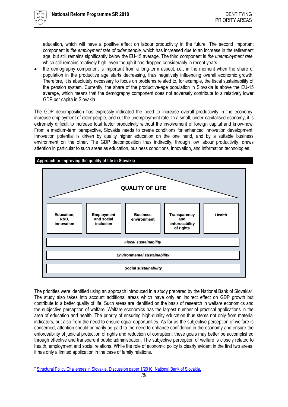

 $\overline{a}$ 

education, which will have a positive effect on labour productivity in the future. The second important component is *the employment rate of older people,* which has increased due to an increase in the retirement age, but still remains significantly below the EU-15 average. The third component is *the unemployment rate,* which still remains relatively high, even though it has dropped considerably in recent years.

the demography component is important from a long-term aspect, i.e., in the moment when the share of population in the productive age starts decreasing, thus negatively influencing overall economic growth. Therefore, it is absolutely necessary to focus on problems related to, for example, the fiscal sustainability of the pension system. Currently, the share of the productive-age population in Slovakia is above the EU-15 average, which means that the demography component does not adversely contribute to a relatively lower GDP per capita in Slovakia.

The GDP decomposition has expressly indicated the need to increase overall productivity in the economy, increase employment of older people, and cut the unemployment rate. In a small, under-capitalised economy, it is extremely difficult to increase total factor productivity without the involvement of foreign capital and know-how. From a medium-term perspective, Slovakia needs to create conditions for enhanced innovation development. Innovation potential is driven by quality higher education on the one hand, and by a suitable business environment on the other. The GDP decomposition thus indirectly, through low labour productivity, draws attention in particular to such areas as education, business conditions, innovation, and information technologies.



The priorities were identified using an approach introduced in a study prepared by the National Bank of Slovakia<sup>2</sup>. The study also takes into account additional areas which have only an indirect effect on GDP growth but contribute to a better quality of life. Such areas are identified on the basis of research in welfare economics and the subjective perception of welfare. Welfare economics has the largest number of practical applications in the area of education and health. The priority of ensuring high-quality education thus stems not only from material indicators, but also from the need to ensure equal opportunities. As far as the subjective perception of welfare is concerned, attention should primarily be paid to the need to enhance confidence in the economy and ensure the enforceability of judicial protection of rights and reduction of corruption; these goals may better be accomplished through effective and transparent public administration. The subjective perception of welfare is closely related to health, employment and social relations. While the role of economic policy is clearly evident in the first two areas, it has only a limited application in the case of family relations.

<sup>2</sup> [Structural Policy Challenges in Slovakia. Discussion paper 1/2010. National Bank of Slovakia,](http://www.nbs.sk/_img/Documents/PUBLIK/DP_1-2010_Ako%20sa%20najest%20z%20grafov.pdf)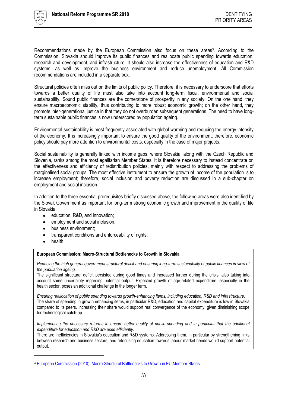

Recommendations made by the European Commission also focus on these areas<sup>3</sup>. According to the Commission, Slovakia should improve its public finances and reallocate public spending towards education, research and development, and infrastructure. It should also increase the effectiveness of education and R&D systems, as well as improve the business environment and reduce unemployment. All Commission recommendations are included in a separate box.

Structural policies often miss out on the limits of public policy. Therefore, it is necessary to underscore that efforts towards a better quality of life must also take into account long-term fiscal, environmental and social sustainability. Sound public finances are the cornerstone of prosperity in any society. On the one hand, they ensure macroeconomic stability, thus contributing to more robust economic growth; on the other hand, they promote inter-generational justice in that they do not overburden subsequent generations. The need to have longterm sustainable public finances is now underscored by population ageing.

Environmental sustainability is most frequently associated with global warming and reducing the energy intensity of the economy. It is increasingly important to ensure the good quality of the environment; therefore, economic policy should pay more attention to environmental costs, especially in the case of major projects.

Social sustainability is generally linked with income gaps, where Slovakia, along with the Czech Republic and Slovenia, ranks among the most egalitarian Member States. It is therefore necessary to instead concentrate on the effectiveness and efficiency of redistribution policies, mainly with respect to addressing the problems of marginalised social groups. The most effective instrument to ensure the growth of income of the population is to increase employment; therefore, social inclusion and poverty reduction are discussed in a sub-chapter on employment and social inclusion.

In addition to the three essential prerequisites briefly discussed above, the following areas were also identified by the Slovak Government as important for long-term strong economic growth and improvement in the quality of life in Slovakia:

- $\bullet$ education, R&D, and innovation;
- employment and social inclusion;
- business environment;
- transparent conditions and enforceability of rights;  $\bullet$
- health.

l

#### **European Commission: Macro-Structural Bottlenecks to Growth in Slovakia**

*Reducing the high general government structural deficit and ensuring long-term sustainability of public finances in view of the population ageing.*

The significant structural deficit persisted during good times and increased further during the crisis, also taking into account some uncertainty regarding potential output. Expected growth of age-related expenditure, especially in the health sector, poses an additional challenge in the longer term.

*Ensuring reallocation of public spending towards growth-enhancing items, including education, R&D and infrastructure.* The share of spending in growth enhancing items, in particular R&D, education and capital expenditure is low in Slovakia compared to its peers. Increasing their share would support real convergence of the economy, given diminishing scope for technological catch-up.

*Implementing the necessary reforms to ensure better quality of public spending and in particular that the additional expenditure for education and R&D are used efficiently.*

There are inefficiencies in Slovakia's education and R&D systems. Addressing them, in particular by strengthening links between research and business sectors, and refocusing education towards labour market needs would support potential output.

<sup>3</sup> European Commission (2010), Macro-Structural Bottlenecks to Growth in EU Member States.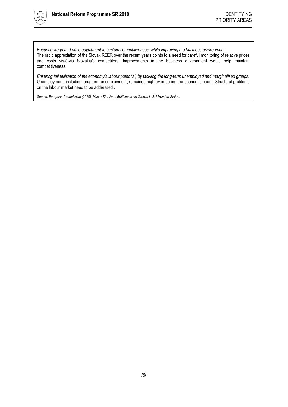

*Ensuring wage and price adjustment to sustain competitiveness, while improving the business environment*. The rapid appreciation of the Slovak REER over the recent years points to a need for careful monitoring of relative prices and costs vis-à-vis Slovakia's competitors. Improvements in the business environment would help maintain competitiveness..

*Ensuring full utilisation of the economy's labour potential, by tackling the long-term unemployed and marginalised groups.* Unemployment, including long-term unemployment, remained high even during the economic boom. Structural problems on the labour market need to be addressed..

*Source: European Commission (2010), Macro-Structural Bottlenecks to Growth in EU Member States.*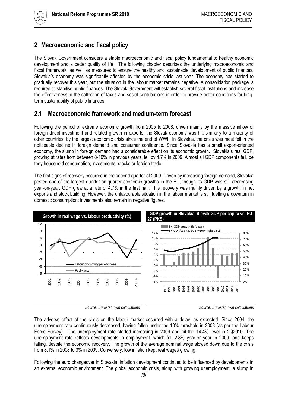# <span id="page-8-0"></span>**2 Macroeconomic and fiscal policy**

The Slovak Government considers a stable macroeconomic and fiscal policy fundamental to healthy economic development and a better quality of life. The following chapter describes the underlying macroeconomic and fiscal framework, as well as measures to ensure the healthy and sustainable development of public finances. Slovakia's economy was significantly affected by the economic crisis last year. The economy has started to gradually recover this year, but the situation in the labour market remains negative. A consolidation package is required to stabilise public finances. The Slovak Government will establish several fiscal institutions and increase the effectiveness in the collection of taxes and social contributions in order to provide better conditions for longterm sustainability of public finances.

## <span id="page-8-1"></span>**2.1 Macroeconomic framework and medium-term forecast**

Following the period of extreme economic growth from 2005 to 2008, driven mainly by the massive inflow of foreign direct investment and related growth in exports, the Slovak economy was hit, similarly to a majority of other countries, by the largest economic crisis since the end of WWII. In Slovakia, the crisis was most felt in the noticeable decline in foreign demand and consumer confidence. Since Slovakia has a small export-oriented economy, the slump in foreign demand had a considerable effect on its economic growth. Slovakia"s real GDP, growing at rates from between 8-10% in previous years, fell by 4.7% in 2009. Almost all GDP components fell, be they household consumption, investments, stocks or foreign trade.

The first signs of recovery occurred in the second quarter of 2009. Driven by increasing foreign demand, Slovakia posted one of the largest quarter-on-quarter economic growths in the EU, though its GDP was still decreasing year-on-year. GDP grew at a rate of 4.7% in the first half. This recovery was mainly driven by a growth in net exports and stock building. However, the unfavourable situation in the labour market is still fuelling a downturn in domestic consumption; investments also remain in negative figures.



*Source: Eurostat, own calculations Source: Eurostat, own calculations* 

The adverse effect of the crisis on the labour market occurred with a delay, as expected. Since 2004, the unemployment rate continuously decreased, having fallen under the 10% threshold in 2008 (as per the Labour Force Survey). The unemployment rate started increasing in 2009 and hit the 14.4% level in 2Q2010. The unemployment rate reflects developments in employment, which fell 2.8% year-on-year in 2009, and keeps falling, despite the economic recovery. The growth of the average nominal wage slowed down due to the crisis from 8.1% in 2008 to 3% in 2009. Conversely, low inflation kept real wages growing.

Following the euro changeover in Slovakia, inflation development continued to be influenced by developments in an external economic environment. The global economic crisis, along with growing unemployment, a slump in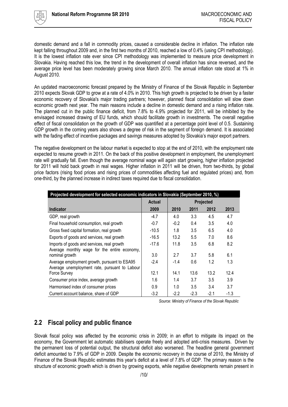

domestic demand and a fall in commodity prices, caused a considerable decline in inflation. The inflation rate kept falling throughout 2009 and, in the first two months of 2010, reached a low of 0.4% (using CPI methodology). It is the lowest inflation rate ever since CPI methodology was implemented to measure price development in Slovakia. Having reached this low, the trend in the development of overall inflation has since reversed, and the average price level has been moderately growing since March 2010. The annual inflation rate stood at 1% in August 2010.

An updated macroeconomic forecast prepared by the Ministry of Finance of the Slovak Republic in September 2010 expects Slovak GDP to grow at a rate of 4.0% in 2010. This high growth is projected to be driven by a faster economic recovery of Slovakia's major trading partners; however, planned fiscal consolidation will slow down economic growth next year. The main reasons include a decline in domestic demand and a rising inflation rate. The planned cut in the public finance deficit, from 7.8% to 4.9% projected for 2011, will be inhibited by the envisaged increased drawing of EU funds, which should facilitate growth in investments. The overall negative effect of fiscal consolidation on the growth of GDP was quantified at a percentage point level of 0.5. Sustaining GDP growth in the coming years also shows a degree of risk in the segment of foreign demand. It is associated with the fading effect of incentive packages and savings measures adopted by Slovakia's major export partners.

The negative development on the labour market is expected to stop at the end of 2010, with the employment rate expected to resume growth in 2011. On the back of this positive development in employment, the unemployment rate will gradually fall. Even though the average nominal wage will again start growing, higher inflation projected for 2011 will hold back growth in real wages. Higher inflation in 2011 will be driven, from two-thirds, by global price factors (rising food prices and rising prices of commodities affecting fuel and regulated prices) and, from one-third, by the planned increase in indirect taxes required due to fiscal consolidation.

| Projected development for selected economic indicators in Slovakia (September 2010, %)        |         |                  |        |        |        |  |
|-----------------------------------------------------------------------------------------------|---------|------------------|--------|--------|--------|--|
|                                                                                               | Actual  | <b>Projected</b> |        |        |        |  |
| <b>Indicator</b>                                                                              | 2009    | 2010             | 2011   | 2012   | 2013   |  |
| GDP, real growth                                                                              | $-4.7$  | 4.0              | 3.3    | 4.5    | 4.7    |  |
| Final household consumption, real growth                                                      | $-0.7$  | $-0.2$           | 0.4    | 3.5    | 4.0    |  |
| Gross fixed capital formation, real growth                                                    | $-10.5$ | 1.8              | 3.5    | 6.5    | 4.0    |  |
| Exports of goods and services, real growth                                                    | $-16.5$ | 13.2             | 5.5    | 7.0    | 8.6    |  |
| Imports of goods and services, real growth<br>Average monthly wage for the entire economy,    | $-17.6$ | 11.8             | 3.5    | 6.8    | 8.2    |  |
| nominal growth                                                                                | 3.0     | 2.7              | 3.7    | 5.8    | 6.1    |  |
| Average employment growth, pursuant to ESA95<br>Average unemployment rate, pursuant to Labour | $-2.4$  | $-1.4$           | 0.6    | 1.2    | 1.3    |  |
| Force Survey                                                                                  | 12.1    | 14.1             | 13.6   | 13.2   | 12.4   |  |
| Consumer price index, average growth                                                          | 1.6     | 1.4              | 3.7    | 3.5    | 3.9    |  |
| Harmonised index of consumer prices                                                           | 0.9     | 1.0              | 3.5    | 3.4    | 3.7    |  |
| Current account balance, share of GDP                                                         | $-3.2$  | $-2.2$           | $-2.3$ | $-2.1$ | $-1.3$ |  |

*Source: Ministry of Finance of the Slovak Republic*

## <span id="page-9-0"></span>**2.2 Fiscal policy and public finance**

Slovak fiscal policy was affected by the economic crisis in 2009; in an effort to mitigate its impact on the economy, the Government let automatic stabilisers operate freely and adopted anti-crisis measures. Driven by the permanent loss of potential output, the structural deficit also worsened. The headline general government deficit amounted to 7.9% of GDP in 2009. Despite the economic recovery in the course of 2010, the Ministry of Finance of the Slovak Republic estimates this year"s deficit at a level of 7.8% of GDP. The primary reason is the structure of economic growth which is driven by growing exports, while negative developments remain present in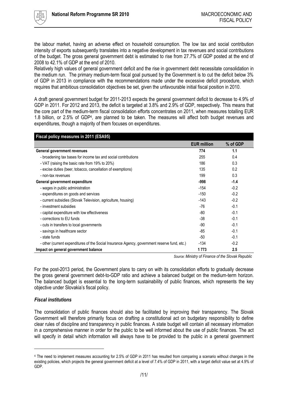

the labour market, having an adverse effect on household consumption. The low tax and social contribution intensity of exports subsequently translates into a negative development in tax revenues and social contributions of the budget. The gross general government debt is estimated to rise from 27.7% of GDP posted at the end of 2008 to 42.1% of GDP at the end of 2010.

Relatively high values of general government deficit and the rise in government debt necessitate consolidation in the medium run. The primary medium-term fiscal goal pursued by the Government is to cut the deficit below 3% of GDP in 2013 in compliance with the recommendations made under the excessive deficit procedure, which requires that ambitious consolidation objectives be set, given the unfavourable initial fiscal position in 2010.

A draft general government budget for 2011-2013 expects the general government deficit to decrease to 4.9% of GDP in 2011. For 2012 and 2013, the deficit is targeted at 3.8% and 2.9% of GDP, respectively. This means that the core part of the medium-term fiscal consolidation efforts concentrates on 2011, when measures totalling EUR 1.8 billion, or 2.5% of GDP<sup>4</sup> , are planned to be taken. The measures will affect both budget revenues and expenditures, though a majority of them focuses on expenditures.

| Fiscal policy measures in 2011 (ESA95)                                                       |                    |          |  |  |  |
|----------------------------------------------------------------------------------------------|--------------------|----------|--|--|--|
|                                                                                              | <b>EUR million</b> | % of GDP |  |  |  |
| General government revenues                                                                  | 774                | 1.1      |  |  |  |
| - broadening tax bases for income tax and social contributions                               | 255                | 0.4      |  |  |  |
| - VAT (raising the basic rate from 19% to 20%)                                               | 186                | 0.3      |  |  |  |
| - excise duties (beer, tobacco, cancellation of exemptions)                                  | 135                | 0.2      |  |  |  |
| - non-tax revenues                                                                           | 199                | 0.3      |  |  |  |
| General government expenditure                                                               | -998               | $-1.4$   |  |  |  |
| - wages in public administration                                                             | $-154$             | $-0.2$   |  |  |  |
| - expenditures on goods and services                                                         | $-150$             | $-0.2$   |  |  |  |
| - current subsidies (Slovak Television, agriculture, housing)                                | $-143$             | $-0.2$   |  |  |  |
| - investment subsidies                                                                       | -76                | $-0.1$   |  |  |  |
| - capital expenditure with low effectiveness                                                 | -80                | $-0.1$   |  |  |  |
| - corrections to EU funds                                                                    | -38                | $-0.1$   |  |  |  |
| - cuts in transfers to local governments                                                     | -90                | $-0.1$   |  |  |  |
| - savings in healthcare sector                                                               | -85                | $-0.1$   |  |  |  |
| - state funds                                                                                | -50                | $-0.1$   |  |  |  |
| - other (current expenditures of the Social Insurance Agency, government reserve fund, etc.) | $-134$             | $-0.2$   |  |  |  |
| Impact on general government balance                                                         | 1773               | 2.5      |  |  |  |

*Source: Ministry of Finance of the Slovak Republic*

For the post-2013 period, the Government plans to carry on with its consolidation efforts to gradually decrease the gross general government debt-to-GDP ratio and achieve a balanced budget on the medium-term horizon. The balanced budget is essential to the long-term sustainability of public finances, which represents the key objective under Slovakia"s fiscal policy.

## *Fiscal institutions*

 $\overline{a}$ 

The consolidation of public finances should also be facilitated by improving their transparency. The Slovak Government will therefore primarily focus on drafting a constitutional act on budgetary responsibility to define clear rules of discipline and transparency in public finances. A state budget will contain all necessary information in a comprehensive manner in order for the public to be well informed about the use of public finances. The act will specify in detail which information will always have to be provided to the public in a general government

<sup>4</sup> The need to implement measures accounting for 2.5% of GDP in 2011 has resulted from comparing a scenario without changes in the existing policies, which projects the general government deficit at a level of 7.4% of GDP in 2011, with a target deficit value set at 4.9% of GDP.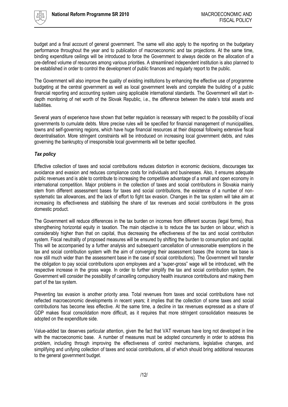

budget and a final account of general government. The same will also apply to the reporting on the budgetary performance throughout the year and to publication of macroeconomic and tax projections. At the same time, binding expenditure ceilings will be introduced to force the Government to always decide on the allocation of a pre-defined volume of resources among various priorities. A streamlined independent institution is also planned to be established in order to control the development of public finances and regularly report to the public.

The Government will also improve the quality of existing institutions by enhancing the effective use of programme budgeting at the central government as well as local government levels and complete the building of a public financial reporting and accounting system using applicable international standards. The Government will start indepth monitoring of net worth of the Slovak Republic, i.e., the difference between the state"s total assets and liabilities.

Several years of experience have shown that better regulation is necessary with respect to the possibility of local governments to cumulate debts. More precise rules will be specified for financial management of municipalities, towns and self-governing regions, which have huge financial resources at their disposal following extensive fiscal decentralisation. More stringent constraints will be introduced on increasing local government debts, and rules governing the bankruptcy of irresponsible local governments will be better specified.

#### *Tax policy*

Effective collection of taxes and social contributions reduces distortion in economic decisions, discourages tax avoidance and evasion and reduces compliance costs for individuals and businesses. Also, it ensures adequate public revenues and is able to contribute to increasing the competitive advantage of a small and open economy in international competition. Major problems in the collection of taxes and social contributions in Slovakia mainly stem from different assessment bases for taxes and social contributions, the existence of a number of nonsystematic tax allowances, and the lack of effort to fight tax evasion. Changes in the tax system will take aim at increasing its effectiveness and stabilising the share of tax revenues and social contributions in the gross domestic product.

The Government will reduce differences in the tax burden on incomes from different sources (legal forms), thus strengthening horizontal equity in taxation. The main objective is to reduce the tax burden on labour, which is considerably higher than that on capital, thus decreasing the effectiveness of the tax and social contribution system. Fiscal neutrality of proposed measures will be ensured by shifting the burden to consumption and capital. This will be accompanied by a further analysis and subsequent cancellation of unreasonable exemptions in the tax and social contribution system with the aim of converging their assessment bases (the income tax base is now still much wider than the assessment base in the case of social contributions). The Government will transfer the obligation to pay social contributions upon employees and a "super-gross" wage will be introduced, with the respective increase in the gross wage. In order to further simplify the tax and social contribution system, the Government will consider the possibility of cancelling compulsory health insurance contributions and making them part of the tax system.

Preventing tax evasion is another priority area. Total revenues from taxes and social contributions have not reflected macroeconomic developments in recent years; it implies that the collection of some taxes and social contributions has become less effective. At the same time, a decline in tax revenues expressed as a share of GDP makes fiscal consolidation more difficult, as it requires that more stringent consolidation measures be adopted on the expenditure side.

Value-added tax deserves particular attention, given the fact that VAT revenues have long not developed in line with the macroeconomic base. A number of measures must be adopted concurrently in order to address this problem, including through improving the effectiveness of control mechanisms, legislative changes, and simplifying and unifying collection of taxes and social contributions, all of which should bring additional resources to the general government budget.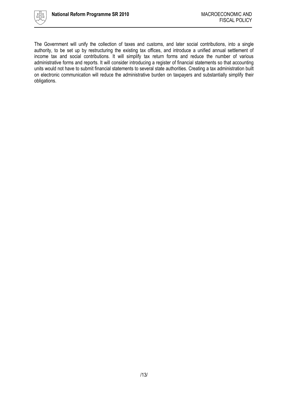

The Government will unify the collection of taxes and customs, and later social contributions, into a single authority, to be set up by restructuring the existing tax offices, and introduce a unified annual settlement of income tax and social contributions. It will simplify tax return forms and reduce the number of various administrative forms and reports. It will consider introducing a register of financial statements so that accounting units would not have to submit financial statements to several state authorities. Creating a tax administration built on electronic communication will reduce the administrative burden on taxpayers and substantially simplify their obligations.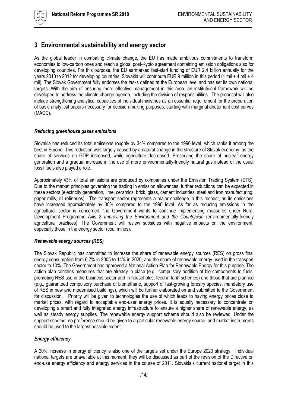

## <span id="page-13-0"></span>**3 Environmental sustainability and energy sector**

As the global leader in combating climate change, the EU has made ambitious commitments to transform economies to low-carbon ones and reach a global post-Kyoto agreement containing emission obligations also for developing countries. For this purpose, the EU earmarked fast-start funding of EUR 2.4 billion annually for the years 2010 to 2012 for developing countries; Slovakia will contribute EUR 9 million in this period (1 mil + 4 mil + 4 mil). The Slovak Government fully endorses the tasks defined at the European level and has set its own national targets. With the aim of ensuring more effective management in this area, an institutional framework will be developed to address the climate change agenda, including the division of responsibilities. The proposal will also include strengthening analytical capacities of individual ministries as an essential requirement for the preparation of basic analytical papers necessary for decision-making purposes, starting with marginal abatement cost curves (MACC).

#### *Reducing greenhouse gases emissions*

Slovakia has reduced its total emissions roughly by 34% compared to the 1990 level, which ranks it among the best in Europe. This reduction was largely caused by a natural change in the structure of Slovak economy, as the share of services on GDP increased, while agriculture decreased. Preserving the share of nuclear energy generation and a gradual increase in the use of more environmentally-friendly natural gas instead of the usual fossil fuels also played a role.

Approximately 43% of total emissions are produced by companies under the Emission Trading System (ETS). Due to the market principles governing the trading in emission allowances, further reductions can be expected in these sectors (electricity generation, lime, ceramics, brick, glass, cement industries, steel and iron manufacturing, paper mills, oil refineries). The transport sector represents a major challenge in this respect, as its emissions have increased approximately by 30% compared to the 1990 level. As far as reducing emissions in the agricultural sector is concerned, the Government wants to continue implementing measures under Rural Development Programme Axis 2 *Improving the Environment and the Countryside* (environmentally-friendly agricultural practices). The Government will review subsidies with negative impacts on the environment, especially those in the energy sector (coal mines).

#### *Renewable energy sources (RES)*

The Slovak Republic has committed to increase the share of renewable energy sources (RES) on gross final energy consumption from 6.7% in 2005 to 14% in 2020, and the share of renewable energy used in the transport sector to 10%. The Government has approved a National Action Plan for Renewable Energy for this purpose. The action plan contains measures that are already in place (e.g., compulsory addition of bio-components to fuels, promoting RES use in the business sector and in households, feed-in tariff schemes) and those that are planned (e.g., guaranteed compulsory purchase of biomethane, support of fast-growing forestry species, mandatory use of RES in new and modernised buildings), which will be further elaborated on and submitted to the Government for discussion. Priority will be given to technologies the use of which leads to having energy prices close to market prices, with regard to acceptable end-user energy prices. It is equally necessary to concentrate on developing a smart and fully integrated energy infrastructure to ensure a higher share of renewable energy, as well as steady energy supplies. The renewable energy support scheme should also be reviewed. Under the support scheme, no preference should be given to a particular renewable energy source, and market instruments should be used to the largest possible extent.

## *Energy efficiency*

A 20% increase in energy efficiency is also one of the targets set under the Europe 2020 strategy. Individual national targets are unavailable at this moment; they will be discussed as part of the revision of the Directive on end-use energy efficiency and energy services in the course of 2011. Slovakia"s current national target in this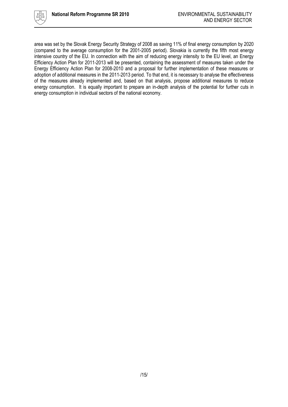

area was set by the Slovak Energy Security Strategy of 2008 as saving 11% of final energy consumption by 2020 (compared to the average consumption for the 2001-2005 period). Slovakia is currently the fifth most energy intensive country of the EU. In connection with the aim of reducing energy intensity to the EU level, an Energy Efficiency Action Plan for 2011-2013 will be presented, containing the assessment of measures taken under the Energy Efficiency Action Plan for 2008-2010 and a proposal for further implementation of these measures or adoption of additional measures in the 2011-2013 period. To that end, it is necessary to analyse the effectiveness of the measures already implemented and, based on that analysis, propose additional measures to reduce energy consumption. It is equally important to prepare an in-depth analysis of the potential for further cuts in energy consumption in individual sectors of the national economy.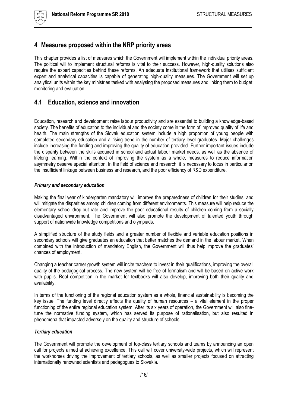# <span id="page-15-0"></span>**4 Measures proposed within the NRP priority areas**

This chapter provides a list of measures which the Government will implement within the individual priority areas. The political will to implement structural reforms is vital to their success. However, high-quality solutions also require the expert capacities behind these reforms. An adequate institutional framework that utilises sufficient expert and analytical capacities is capable of generating high-quality measures. The Government will set up analytical units within the key ministries tasked with analysing the proposed measures and linking them to budget, monitoring and evaluation.

# <span id="page-15-1"></span>**4.1 Education, science and innovation**

Education, research and development raise labour productivity and are essential to building a knowledge-based society. The benefits of education to the individual and the society come in the form of improved quality of life and health. The main strengths of the Slovak education system include a high proportion of young people with completed secondary education and a rising trend in the number of tertiary level graduates. Major challenges include increasing the funding and improving the quality of education provided. Further important issues include the disparity between the skills acquired in school and actual labour market needs, as well as the absence of lifelong learning. Within the context of improving the system as a whole, measures to reduce information asymmetry deserve special attention. In the field of science and research, it is necessary to focus in particular on the insufficient linkage between business and research, and the poor efficiency of R&D expenditure.

## *Primary and secondary education*

Making the final year of kindergarten mandatory will improve the preparedness of children for their studies, and will mitigate the disparities among children coming from different environments. This measure will help reduce the elementary school drop-out rate and improve the poor educational results of children coming from a socially disadvantaged environment. The Government will also promote the development of talented youth through support of nationwide knowledge competitions and olympiads.

A simplified structure of the study fields and a greater number of flexible and variable education positions in secondary schools will give graduates an education that better matches the demand in the labour market. When combined with the introduction of mandatory English, the Government will thus help improve the graduates" chances of employment.

Changing a teacher career growth system will incite teachers to invest in their qualifications, improving the overall quality of the pedagogical process. The new system will be free of formalism and will be based on active work with pupils. Real competition in the market for textbooks will also develop, improving both their quality and availability.

In terms of the functioning of the regional education system as a whole, financial sustainability is becoming the key issue. The funding level directly affects the quality of human resources – a vital element in the proper functioning of the entire regional education system. After its six years of operation, the Government will also finetune the normative funding system, which has served its purpose of rationalisation, but also resulted in phenomena that impacted adversely on the quality and structure of schools.

## *Tertiary education*

The Government will promote the development of top-class tertiary schools and teams by announcing an open call for projects aimed at achieving excellence. This call will cover university-wide projects, which will represent the workhorses driving the improvement of tertiary schools, as well as smaller projects focused on attracting internationally renowned scientists and pedagogues to Slovakia.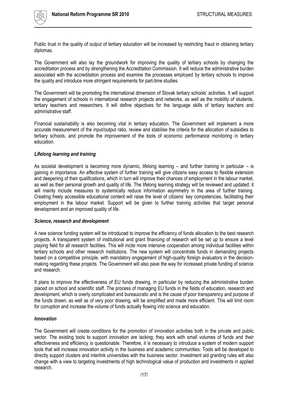

Public trust in the quality of output of tertiary education will be increased by restricting fraud in obtaining tertiary diplomas.

The Government will also lay the groundwork for improving the quality of tertiary schools by changing the accreditation process and by strengthening the Accreditation Commission. It will reduce the administrative burden associated with the accreditation process and examine the processes employed by tertiary schools to improve the quality and introduce more stringent requirements for part-time studies.

The Government will be promoting the international dimension of Slovak tertiary schools' activities. It will support the engagement of schools in international research projects and networks, as well as the mobility of students, tertiary teachers and researchers. It will define objectives for the language skills of tertiary teachers and administrative staff.

Financial sustainability is also becoming vital in tertiary education. The Government will implement a more accurate measurement of the input/output ratio, review and stabilise the criteria for the allocation of subsidies to tertiary schools, and promote the improvement of the tools of economic performance monitoring in tertiary education.

#### *Lifelong learning and training*

As societal development is becoming more dynamic, lifelong learning – and further training in particular – is gaining in importance. An effective system of further training will give citizens easy access to flexible extension and deepening of their qualifications, which in turn will improve their chances of employment in the labour market, as well as their personal growth and quality of life. The lifelong learning strategy will be reviewed and updated; it will mainly include measures to systemically reduce information asymmetry in the area of further training. Creating freely accessible educational content will raise the level of citizens" key competencies, facilitating their employment in the labour market. Support will be given to further training activities that target personal development and an improved quality of life.

#### *Science, research and development*

A new science funding system will be introduced to improve the efficiency of funds allocation to the best research projects. A transparent system of institutional and grant financing of research will be set up to ensure a level playing field for all research facilities. This will incite more intensive cooperation among individual facilities within tertiary schools and other research institutions. The new system will concentrate funds in demanding projects based on a competitive principle, with mandatory engagement of high-quality foreign evaluators in the decisionmaking regarding these projects. The Government will also pave the way for increased private funding of science and research.

It plans to improve the effectiveness of EU funds drawing, in particular by reducing the administrative burden placed on school and scientific staff. The process of managing EU funds in the fields of education, research and development, which is overly complicated and bureaucratic and is the cause of poor transparency and purpose of the funds drawn, as well as of very poor drawing, will be simplified and made more efficient. This will limit room for corruption and increase the volume of funds actually flowing into science and education.

## *Innovation*

The Government will create conditions for the promotion of innovation activities both in the private and public sector. The existing tools to support innovation are lacking; they work with small volumes of funds and their effectiveness and efficiency is questionable. Therefore, it is necessary to introduce a system of modern support tools that will increase innovation activity in the business and academic communities. Tools will be developed to directly support clusters and interlink universities with the business sector. Investment aid granting rules will also change with a view to targeting investments of high technological value of production and investments in applied research.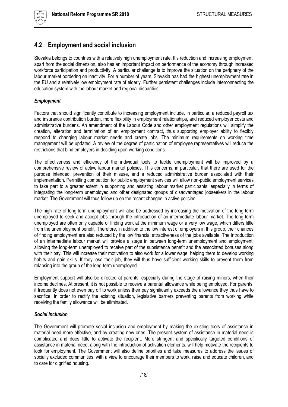# <span id="page-17-0"></span>**4.2 Employment and social inclusion**

Slovakia belongs to countries with a relatively high unemployment rate. It's reduction and increasing employment, apart from the social dimension, also has an important impact on performance of the economy through increased workforce participation and productivity. A particular challenge is to improve the situation on the periphery of the labour market bordering on inactivity. For a number of years, Slovakia has had the highest unemployment rate in the EU and a relatively low employment rate of elderly. Further persistent challenges include interconnecting the education system with the labour market and regional disparities.

## *Employment*

Factors that should significantly contribute to increasing employment include, in particular, a reduced payroll tax and insurance contribution burden, more flexibility in employment relationships, and reduced employer costs and administrative burdens. An amendment of the Labour Code and other employment regulations will simplify the creation, alteration and termination of an employment contract, thus supporting employer ability to flexibly respond to changing labour market needs and create jobs. The minimum requirements on working time management will be updated. A review of the degree of participation of employee representatives will reduce the restrictions that bind employers in deciding upon working conditions.

The effectiveness and efficiency of the individual tools to tackle unemployment will be improved by a comprehensive review of active labour market policies. This concerns, in particular, that there are used for the purpose intended, prevention of their misuse, and a reduced administrative burden associated with their implementation. Permitting competition for public employment services will allow non-public employment services to take part to a greater extent in supporting and assisting labour market participants, especially in terms of integrating the long-term unemployed and other designated groups of disadvantaged jobseekers in the labour market. The Government will thus follow up on the recent changes in active policies.

The high rate of long-term unemployment will also be addressed by increasing the motivation of the long-term unemployed to seek and accept jobs through the introduction of an intermediate labour market. The long-term unemployed are often only capable of finding work at the minimum wage or a very low wage, which differs little from the unemployment benefit. Therefore, in addition to the low interest of employers in this group, their chances of finding employment are also reduced by the low financial attractiveness of the jobs available. The introduction of an intermediate labour market will provide a stage in between long-term unemployment and employment, allowing the long-term unemployed to receive part of the subsistence benefit and the associated bonuses along with their pay. This will increase their motivation to also work for a lower wage, helping them to develop working habits and gain skills. If they lose their job, they will thus have sufficient working skills to prevent them from relapsing into the group of the long-term unemployed.

Employment support will also be directed at parents, especially during the stage of raising minors, when their income declines. At present, it is not possible to receive a parental allowance while being employed. For parents, it frequently does not even pay off to work unless their pay significantly exceeds the allowance they thus have to sacrifice. In order to rectify the existing situation, legislative barriers preventing parents from working while receiving the family allowance will be eliminated.

## *Social inclusion*

The Government will promote social inclusion and employment by making the existing tools of assistance in material need more effective, and by creating new ones. The present system of assistance in material need is complicated and does little to activate the recipient. More stringent and specifically targeted conditions of assistance in material need, along with the introduction of activation elements, will help motivate the recipients to look for employment. The Government will also define priorities and take measures to address the issues of socially excluded communities, with a view to encourage their members to work, raise and educate children, and to care for dignified housing.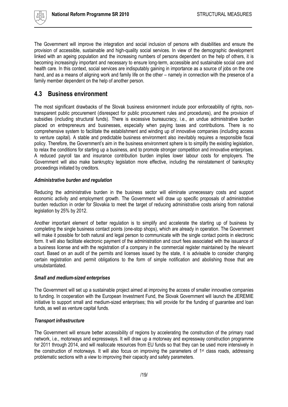

The Government will improve the integration and social inclusion of persons with disabilities and ensure the provision of accessible, sustainable and high-quality social services. In view of the demographic development linked with an ageing population and the increasing numbers of persons dependent on the help of others, it is becoming increasingly important and necessary to ensure long-term, accessible and sustainable social care and health care. In this context, social services are indisputably gaining in importance as a source of jobs on the one hand, and as a means of aligning work and family life on the other – namely in connection with the presence of a family member dependent on the help of another person.

## <span id="page-18-0"></span>**4.3 Business environment**

The most significant drawbacks of the Slovak business environment include poor enforceability of rights, nontransparent public procurement (disrespect for public procurement rules and procedures), and the provision of subsidies (including structural funds). There is excessive bureaucracy, i.e., an undue administrative burden placed on entrepreneurs and businesses, especially when paying taxes and contributions. There is no comprehensive system to facilitate the establishment and winding up of innovative companies (including access to venture capital). A stable and predictable business environment also inevitably requires a responsible fiscal policy. Therefore, the Government"s aim in the business environment sphere is to simplify the existing legislation, to relax the conditions for starting up a business, and to promote stronger competition and innovative enterprises. A reduced payroll tax and insurance contribution burden implies lower labour costs for employers. The Government will also make bankruptcy legislation more effective, including the reinstatement of bankruptcy proceedings initiated by creditors.

## *Administrative burden and regulation*

Reducing the administrative burden in the business sector will eliminate unnecessary costs and support economic activity and employment growth. The Government will draw up specific proposals of administrative burden reduction in order for Slovakia to meet the target of reducing administrative costs arising from national legislation by 25% by 2012.

Another important element of better regulation is to simplify and accelerate the starting up of business by completing the single business contact points (one-stop shops), which are already in operation. The Government will make it possible for both natural and legal person to communicate with the single contact points in electronic form. It will also facilitate electronic payment of the administration and court fees associated with the issuance of a business license and with the registration of a company in the commercial register maintained by the relevant court. Based on an audit of the permits and licenses issued by the state, it is advisable to consider changing certain registration and permit obligations to the form of simple notification and abolishing those that are unsubstantiated.

## *Small and medium-sized enterprises*

The Government will set up a sustainable project aimed at improving the access of smaller innovative companies to funding. In cooperation with the European Investment Fund, the Slovak Government will launch the JEREMIE initiative to support small and medium-sized enterprises; this will provide for the funding of guarantee and loan funds, as well as venture capital funds.

## *Transport infrastructure*

The Government will ensure better accessibility of regions by accelerating the construction of the primary road network, i.e., motorways and expressways. It will draw up a motorway and expressway construction programme for 2011 through 2014, and will reallocate resources from EU funds so that they can be used more intensively in the construction of motorways. It will also focus on improving the parameters of 1st class roads, addressing problematic sections with a view to improving their capacity and safety parameters.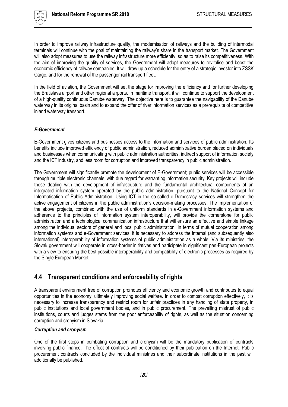

In order to improve railway infrastructure quality, the modernisation of railways and the building of intermodal terminals will continue with the goal of maintaining the railway"s share in the transport market. The Government will also adopt measures to use the railway infrastructure more efficiently, so as to raise its competitiveness. With the aim of improving the quality of services, the Government will adopt measures to revitalise and boost the economic efficiency of railway companies. It will draw up a schedule for the entry of a strategic investor into ZSSK Cargo, and for the renewal of the passenger rail transport fleet.

In the field of aviation, the Government will set the stage for improving the efficiency and for further developing the Bratislava airport and other regional airports. In maritime transport, it will continue to support the development of a high-quality continuous Danube waterway. The objective here is to guarantee the navigability of the Danube waterway in its original basin and to expand the offer of river information services as a prerequisite of competitive inland waterway transport.

#### *E-Government*

E-Government gives citizens and businesses access to the information and services of public administration. Its benefits include improved efficiency of public administration, reduced administrative burden placed on individuals and businesses when communicating with public administration authorities, indirect support of information society and the ICT industry, and less room for corruption and improved transparency in public administration.

The Government will significantly promote the development of E-Government; public services will be accessible through multiple electronic channels, with due regard for warranting information security. Key projects will include those dealing with the development of infrastructure and the fundamental architectural components of an integrated information system operated by the public administration, pursuant to the National Concept for Informatisation of Public Administration. Using ICT in the so-called e-Democracy services will strengthen the active engagement of citizens in the public administration"s decision-making processes. The implementation of the above projects, combined with the use of uniform standards in e-Government information systems and adherence to the principles of information system interoperability, will provide the cornerstone for public administration and a technological communication infrastructure that will ensure an effective and simple linkage among the individual sectors of general and local public administration. In terms of mutual cooperation among information systems and e-Government services, it is necessary to address the internal (and subsequently also international) interoperability of information systems of public administration as a whole. Via its ministries, the Slovak government will cooperate in cross-border initiatives and participate in significant pan-European projects with a view to ensuring the best possible interoperability and compatibility of electronic processes as required by the Single European Market.

## <span id="page-19-0"></span>**4.4 Transparent conditions and enforceability of rights**

A transparent environment free of corruption promotes efficiency and economic growth and contributes to equal opportunities in the economy, ultimately improving social welfare. In order to combat corruption effectively, it is necessary to increase transparency and restrict room for unfair practices in any handling of state property, in public institutions and local government bodies, and in public procurement. The prevailing mistrust of public institutions, courts and judges stems from the poor enforceability of rights, as well as the situation concerning corruption and cronyism in Slovakia.

#### *Corruption and cronyism*

One of the first steps in combating corruption and cronyism will be the mandatory publication of contracts involving public finance. The effect of contracts will be conditioned by their publication on the Internet. Public procurement contracts concluded by the individual ministries and their subordinate institutions in the past will additionally be published.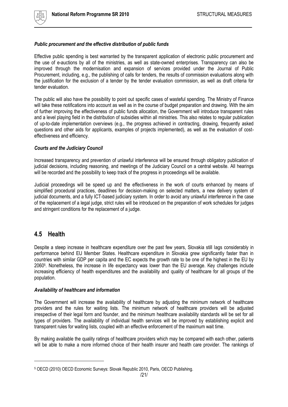

#### *Public procurement and the effective distribution of public funds*

Effective public spending is best warranted by the transparent application of electronic public procurement and the use of e-auctions by all of the ministries, as well as state-owned enterprises. Transparency can also be improved through the modernisation and expansion of services provided under the Journal of Public Procurement, including, e.g., the publishing of calls for tenders, the results of commission evaluations along with the justification for the exclusion of a tender by the tender evaluation commission, as well as draft criteria for tender evaluation.

The public will also have the possibility to point out specific cases of wasteful spending. The Ministry of Finance will take these notifications into account as well as in the course of budget preparation and drawing. With the aim of further improving the effectiveness of public funds allocation, the Government will introduce transparent rules and a level playing field in the distribution of subsidies within all ministries. This also relates to regular publication of up-to-date implementation overviews (e.g., the progress achieved in contracting, drawing, frequently asked questions and other aids for applicants, examples of projects implemented), as well as the evaluation of costeffectiveness and efficiency.

#### *Courts and the Judiciary Council*

Increased transparency and prevention of unlawful interference will be ensured through obligatory publication of judicial decisions, including reasoning, and meetings of the Judiciary Council on a central website. All hearings will be recorded and the possibility to keep track of the progress in proceedings will be available.

Judicial proceedings will be speed up and the effectiveness in the work of courts enhanced by means of simplified procedural practices, deadlines for decision-making on selected matters, a new delivery system of judicial documents, and a fully ICT-based judiciary system. In order to avoid any unlawful interference in the case of the replacement of a legal judge, strict rules will be introduced on the preparation of work schedules for judges and stringent conditions for the replacement of a judge.

## <span id="page-20-0"></span>**4.5 Health**

 $\overline{a}$ 

Despite a steep increase in healthcare expenditure over the past few years, Slovakia still lags considerably in performance behind EU Member States. Healthcare expenditure in Slovakia grew significantly faster than in countries with similar GDP per capita and the EC expects the growth rate to be one of the highest in the EU by 2060<sup>5</sup> . Nonetheless, the increase in life expectancy was lower than the EU average. Key challenges include increasing efficiency of health expenditures and the availability and quality of healthcare for all groups of the population.

#### *Availability of healthcare and information*

The Government will increase the availability of healthcare by adjusting the minimum network of healthcare providers and the rules for waiting lists. The minimum network of healthcare providers will be adjusted irrespective of their legal form and founder, and the minimum healthcare availability standards will be set for all types of providers. The availability of individual health services will be improved by establishing explicit and transparent rules for waiting lists, coupled with an effective enforcement of the maximum wait time.

By making available the quality ratings of healthcare providers which may be compared with each other, patients will be able to make a more informed choice of their health insurer and health care provider. The rankings of

<sup>5</sup> OECD (2010) OECD Economic Surveys: Slovak Republic 2010, Paris, OECD Publishing.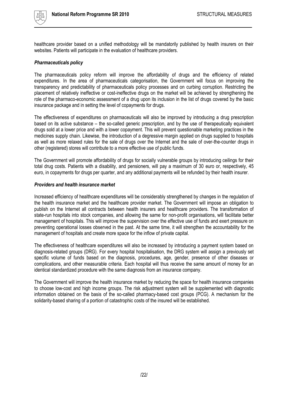

healthcare provider based on a unified methodology will be mandatorily published by health insurers on their websites. Patients will participate in the evaluation of healthcare providers.

#### *Pharmaceuticals policy*

The pharmaceuticals policy reform will improve the affordability of drugs and the efficiency of related expenditures. In the area of pharmaceuticals categorisation, the Government will focus on improving the transparency and predictability of pharmaceuticals policy processes and on curbing corruption. Restricting the placement of relatively ineffective or cost-ineffective drugs on the market will be achieved by strengthening the role of the pharmaco-economic assessment of a drug upon its inclusion in the list of drugs covered by the basic insurance package and in setting the level of copayments for drugs.

The effectiveness of expenditures on pharmaceuticals will also be improved by introducing a drug prescription based on its active substance – the so-called generic prescription, and by the use of therapeutically equivalent drugs sold at a lower price and with a lower copayment. This will prevent questionable marketing practices in the medicines supply chain. Likewise, the introduction of a degressive margin applied on drugs supplied to hospitals as well as more relaxed rules for the sale of drugs over the Internet and the sale of over-the-counter drugs in other (registered) stores will contribute to a more effective use of public funds.

The Government will promote affordability of drugs for socially vulnerable groups by introducing ceilings for their total drug costs. Patients with a disability, and pensioners, will pay a maximum of 30 euro or, respectively, 45 euro, in copayments for drugs per quarter, and any additional payments will be refunded by their health insurer.

#### *Providers and health insurance market*

Increased efficiency of healthcare expenditures will be considerably strengthened by changes in the regulation of the health insurance market and the healthcare provider market. The Government will impose an obligation to publish on the Internet all contracts between health insurers and healthcare providers. The transformation of state-run hospitals into stock companies, and allowing the same for non-profit organisations, will facilitate better management of hospitals. This will improve the supervision over the effective use of funds and exert pressure on preventing operational losses observed in the past. At the same time, it will strengthen the accountability for the management of hospitals and create more space for the inflow of private capital.

The effectiveness of healthcare expenditures will also be increased by introducing a payment system based on diagnosis-related groups (DRG). For every hospital hospitalisation, the DRG system will assign a previously set specific volume of funds based on the diagnosis, procedures, age, gender, presence of other diseases or complications, and other measurable criteria. Each hospital will thus receive the same amount of money for an identical standardized procedure with the same diagnosis from an insurance company.

The Government will improve the health insurance market by reducing the space for health insurance companies to choose low-cost and high income groups. The risk adjustment system will be supplemented with diagnostic information obtained on the basis of the so-called pharmacy-based cost groups (PCG). A mechanism for the solidarity-based sharing of a portion of catastrophic costs of the insured will be established.